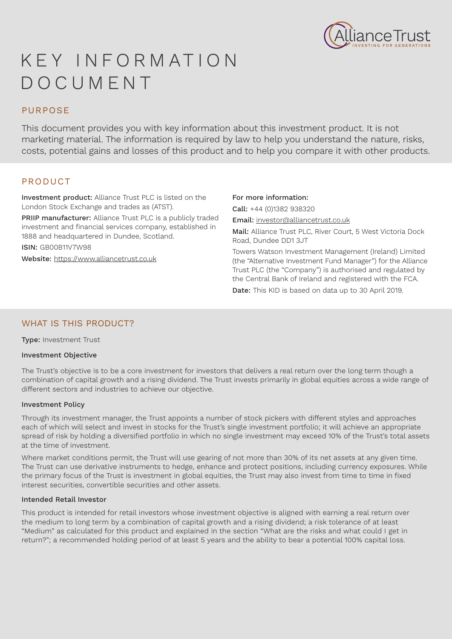

# K E Y I N F O R M AT I O N DOCUMENT

# PURPOSE

This document provides you with key information about this investment product. It is not marketing material. The information is required by law to help you understand the nature, risks, costs, potential gains and losses of this product and to help you compare it with other products.

# PRODUCT

Investment product: Alliance Trust PLC is listed on the London Stock Exchange and trades as (ATST).

PRIIP manufacturer: Alliance Trust PLC is a publicly traded investment and financial services company, established in 1888 and headquartered in Dundee, Scotland.

ISIN: GB00B11V7W98

Website: https://www.alliancetrust.co.uk

#### For more information:

Call: +44 (0)1382 938320 Email: investor@alliancetrust.co.uk

Mail: Alliance Trust PLC, River Court, 5 West Victoria Dock Road, Dundee DD1 3JT

Towers Watson Investment Management (Ireland) Limited (the "Alternative Investment Fund Manager") for the Alliance Trust PLC (the "Company") is authorised and regulated by the Central Bank of Ireland and registered with the FCA.

Date: This KID is based on data up to 30 April 2019.

# WHAT IS THIS PRODUCT?

Type: Investment Trust

#### Investment Objective

The Trust's objective is to be a core investment for investors that delivers a real return over the long term though a combination of capital growth and a rising dividend. The Trust invests primarily in global equities across a wide range of different sectors and industries to achieve our objective.

#### Investment Policy

Through its investment manager, the Trust appoints a number of stock pickers with different styles and approaches each of which will select and invest in stocks for the Trust's single investment portfolio; it will achieve an appropriate spread of risk by holding a diversified portfolio in which no single investment may exceed 10% of the Trust's total assets at the time of investment.

Where market conditions permit, the Trust will use gearing of not more than 30% of its net assets at any given time. The Trust can use derivative instruments to hedge, enhance and protect positions, including currency exposures. While the primary focus of the Trust is investment in global equities, the Trust may also invest from time to time in fixed interest securities, convertible securities and other assets.

#### Intended Retail Investor

This product is intended for retail investors whose investment objective is aligned with earning a real return over the medium to long term by a combination of capital growth and a rising dividend; a risk tolerance of at least "Medium" as calculated for this product and explained in the section "What are the risks and what could I get in return?"; a recommended holding period of at least 5 years and the ability to bear a potential 100% capital loss.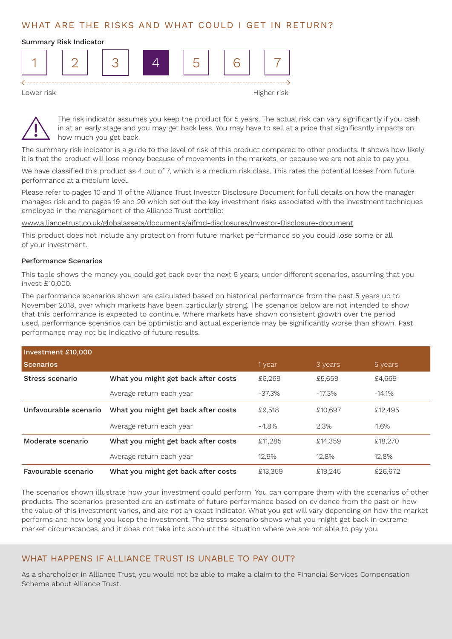# WHAT ARE THE RISKS AND WHAT COULD I GET IN RETURN?

# Summary Risk Indicator 1 | | 2 | | 3 | | 4 | | 5 | | 6 | | 7  $\leftarrow$  - - - - - - -Lower risk the control of the control of the control of the control of the control of the control of the control of the control of the control of the control of the control of the control of the control of the control of t

The risk indicator assumes you keep the product for 5 years. The actual risk can vary significantly if you cash in at an early stage and you may get back less. You may have to sell at a price that significantly impacts on how much you get back.

The summary risk indicator is a guide to the level of risk of this product compared to other products. It shows how likely it is that the product will lose money because of movements in the markets, or because we are not able to pay you.

We have classified this product as 4 out of 7, which is a medium risk class. This rates the potential losses from future performance at a medium level.

Please refer to pages 10 and 11 of the Alliance Trust Investor Disclosure Document for full details on how the manager manages risk and to pages 19 and 20 which set out the key investment risks associated with the investment techniques employed in the management of the Alliance Trust portfolio:

www.alliancetrust.co.uk/globalassets/documents/aifmd-disclosures/Investor-Disclosure-document

This product does not include any protection from future market performance so you could lose some or all of your investment.

#### Performance Scenarios

This table shows the money you could get back over the next 5 years, under different scenarios, assuming that you invest £10,000.

The performance scenarios shown are calculated based on historical performance from the past 5 years up to November 2018, over which markets have been particularly strong. The scenarios below are not intended to show that this performance is expected to continue. Where markets have shown consistent growth over the period used, performance scenarios can be optimistic and actual experience may be significantly worse than shown. Past performance may not be indicative of future results.

| Investment £10,000    |                                     |          |          |          |
|-----------------------|-------------------------------------|----------|----------|----------|
| <b>Scenarios</b>      |                                     | 1 year   | 3 years  | 5 years  |
| Stress scenario       | What you might get back after costs | £6.269   | £5,659   | £4,669   |
|                       | Average return each year            | $-37.3%$ | $-17.3%$ | $-14.1%$ |
| Unfavourable scenario | What you might get back after costs | £9,518   | £10,697  | £12,495  |
|                       | Average return each year            | $-4.8\%$ | 2.3%     | 4.6%     |
| Moderate scenario     | What you might get back after costs | £11,285  | £14,359  | £18,270  |
|                       | Average return each year            | 12.9%    | 12.8%    | 12.8%    |
| Favourable scenario   | What you might get back after costs | £13,359  | £19.245  | £26,672  |

The scenarios shown illustrate how your investment could perform. You can compare them with the scenarios of other products. The scenarios presented are an estimate of future performance based on evidence from the past on how the value of this investment varies, and are not an exact indicator. What you get will vary depending on how the market performs and how long you keep the investment. The stress scenario shows what you might get back in extreme market circumstances, and it does not take into account the situation where we are not able to pay you.

### WHAT HAPPENS IF ALLIANCE TRUST IS UNABLE TO PAY OUT?

As a shareholder in Alliance Trust, you would not be able to make a claim to the Financial Services Compensation Scheme about Alliance Trust.